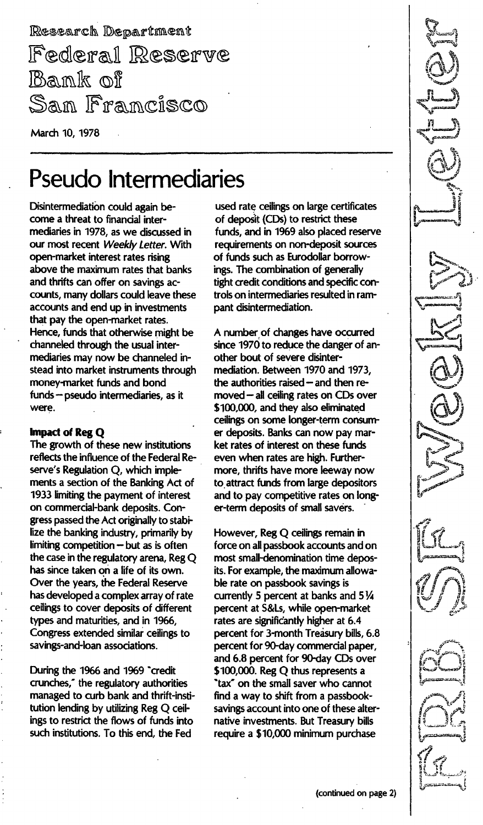Research Department Federal Reserve Bank of Sam Francisco

March 10, 1978

# Pseudo Intermediaries

Disintermediation could again become a threat to financial intermediaries in 1978, as we discussed in our most recent Weekly Letter. With open-market interest rates rising above the maximum rates that banks and thrifts can offer on savings accounts, many dollars could leave these accounts and end up in investments that pay the open-market rates. Hence, funds that otherwise might be channeled through the usual intermediaries may now be channeled instead into market instruments through money-market funds and bond funds - pseudo intermediaries, as it were.

#### Impact of Reg Q

The growth of these new institutions reflects the influence of the Federal Reserve's Regulation Q, which implements a section of the Banking Act of 1933 limiting the payment of interest on commercial-bank deposits. Congress passed the Act originally to stabilize the banking industry, primarily by limiting competition  $-$  but as is often the case in the regulatory arena, RegQ has since taken on a life of its own. Over the years, the Federal Reserve has developed a complex array of rate ceilings to cover deposits of different types and maturities, and in 1966, Congress extended similar ceilings to savings-and-loan associations.

During the 1966 and 1969 "credit crunches," the regulatory authorities managed to curb bank and thrift-institution lending by utilizing Reg Q ceilings to restrict the flows of funds into such institutions. To this end, the Fed

used rate ceilings on large certificates of deposit (CDs) to restrict these funds, and in 1969 also placed reserve requirements on non-deposit sources of funds such as Eurodollar borrowings. The combination of generally tight credit conditions and specific controls on intermediaries resulted in rampant disintermediation.

A number of changes have occurred since 1970 to reduce the danger of another bout of severe disintermediation. Between 1970 and 1973, the authorities raised  $-$  and then removed - all ceiling rates on CDs over \$100,000, and they also eliminated ceilings on some longer-term consumer deposits. Banks can now pay market rates of interest on these funds even when rates are high. Furthermore, thrifts have more leeway now to attract funds from large depositors and to pay competitive rates on longer-term deposits of small savers.

However, Reg Q ceilings remain in force on all passbook accounts and on most small-denomination time deposits. For example, the maximum allowable rate on passbook savings is currently 5 percent at banks and  $5\frac{1}{4}$ percent at S&Ls, while open-market rates are significantly higher at 6.4 percent for 3-month Treasury bills, 6.8 percent for 90-day commercial paper, and 6.8 percent for 90-day CDs over \$100,000. Reg Q thus represents a "tax" on the small saver who cannot find a way to shift from a passbooksavings account into one of these alternative investments. But Treasury bills require a \$10,000 minimum purchase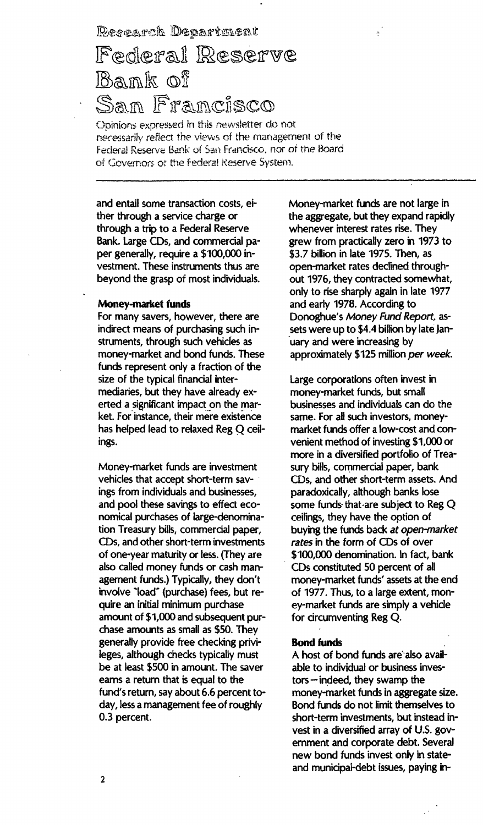Research Department

## Federal Reserve Bank of <u>San Francisco</u>

Opinions expressed in this newsletter do not necessarily reflect the views of the management of the Federal Reserve Bank of San Francisco, nor of the Board of Governors of the Federal Reserve System.

and entail some transaction costs, either through a service charge or through a trip to a Federal Reserve Bank. Large CDs, and commercial paper generally, require a \$100,000 investment. These instruments thus are beyond the grasp of most individuals.

#### Money-market funds

For many savers, however, there are indirect means of purchasing such instruments, through such vehicles as money-market and bond funds. These funds represent only a fraction of the size of the typical financial intermediaries, but they have already exerted a significant impact on the market. For instance, their mere existence has helped lead to relaxed Reg Q ceilings.

Money-market funds are investment vehicles that accept short-term savings from individuals and businesses, and pool these savings to effect economical purchases of large-denomination Treasury bills, commercial paper, CDs, and other short-term investments of one-year maturity or less. (They are also called money funds or cash management funds.) Typically, they don't involve "load" (purchase) fees, but require an initial minimum purchase amount of \$1,000 and subsequent purchase amounts as small as \$50. They generally provide free checking privileges, although checks typically must be at least \$500 in amount. The saver earns a return that is equal to the fund's return, say about 6.6 percent today, less a management fee of roughly 0.3 percent.

Money-market funds are not large in the aggregate, but they expand rapidly whenever interest rates rise. They grew from practically zero in 1973 to \$3.7 billion in late 1975. Then, as open-market rates declined throughout 1976, they contracted somewhat, only to rise sharply again in late 1977 and early 1978. According to Donoghue's Money Fund Report, assets were up to \$4.4 billion by late January and were increasing by approximately \$125 million per week.

÷

Large corporations often invest in money-market funds, but small businesses and individuals can do the same. For all such investors, moneymarket funds offer a low-cost and convenient method of investing \$1,000 or more in a diversified portfolio of Treasury bills, commercial paper, bank CDs, and other short-term assets. And paradoxically, although banks lose some funds that are subject to Reg Q ceilings, they have the option of buying the funds back at open-market rates in the form of CDs of over \$100,000 denomination. In fact, bank CDs constituted 50 percent of all money-market funds' assets at the end of 1977. Thus, to a large extent, money-market funds are simply a vehicle for circumventing Reg Q.

#### Rond funds

A host of bond funds are also available to individual or business inves $tors$  - indeed, they swamp the money-market funds in aggregate size. Bond funds do not limit themselves to short-term investments, but instead invest in a diversified array of U.S. government and corporate debt. Several new bond funds invest only in stateand municipal-debt issues, paying in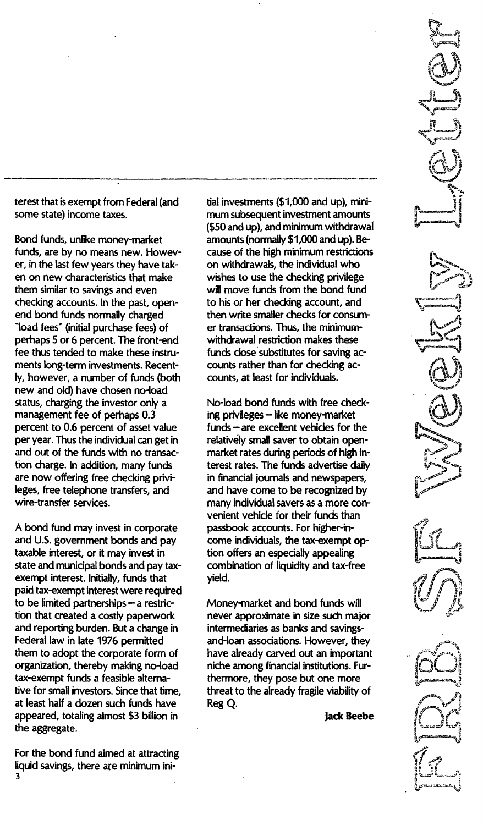terest that is exempt from Federal (and some state) income taxes.

Bond funds, unlike money-market funds, are by no means new. However, in the last few years they have taken on new characteristics that make them similar to savings and even checking accounts. In the past, openend bond funds normally charged fees" (initial purchase fees) of perhaps 5 or 6 percent. The front-end fee thus tended to make these instruments long-term investments. Recently, however, a number of funds (both new and old) have chosen no-load status, charging the investor only a management fee of perhaps 0.3 percent to 0.6 percent of asset value per year. Thus the individual can get in and out of the funds with no transaction charge. In addition, many funds are now offering free checking privileges, free telephone transfers, and wire-transfer services.

A bond fund may invest in corporate and U.S. government bonds and pay taxable interest, or it may invest in state and municipal bonds and pay taxexempt interest. Initially, funds that paid tax-exempt interest were required to be limited partnerships  $-$  a restriction that created a costly paperwork and reporting burden. But a change in Federal law in late 1976 permitted them to adopt the corporate form of organization, thereby making no-load tax-exempt funds a feasible alternative for small investors. Since that time, at least half a dozen such funds have appeared, totaling almost \$3 billion in the aggregate.

For the bond fund aimed at attracting liquid savings, there are minimum ini-3

tial investments (\$1,000 and up), minimum subsequent investment amounts (\$50 and up), and minimum withdrawal amounts (normally \$1 ,000 and up). Because of the high minimum restrictions on withdrawals, the individual who wishes to use the checking privilege will move funds from the bond fund to his or her checking account, and then write smaller checks for consumer transactions. Thus, the minimumwithdrawal restriction makes these funds close substitutes for saving accounts rather than for checking accounts, at least for individuals.

No-load bond funds with free checking privileges - like money-market funds - are excellent vehicles for the relatively small saver to obtain openmarket rates during periods of high interest rates. The funds advertise daily in financial journals and newspapers, and have come to be recognized by many individual savers as a more convenient vehicle for their funds than passbook accounts. For higher-income individuals, the tax-exempt option offers an especially appealing combination of liquidity and tax-free yield.

Money-market and bond funds will never approximate in size such major intermediaries as banks and savingsand-loan associations. However, they have already carved out an important niche among financial institutions. Furthermore, they pose but one more threat to the already fragile viability of Reg Q.

lack Beebe